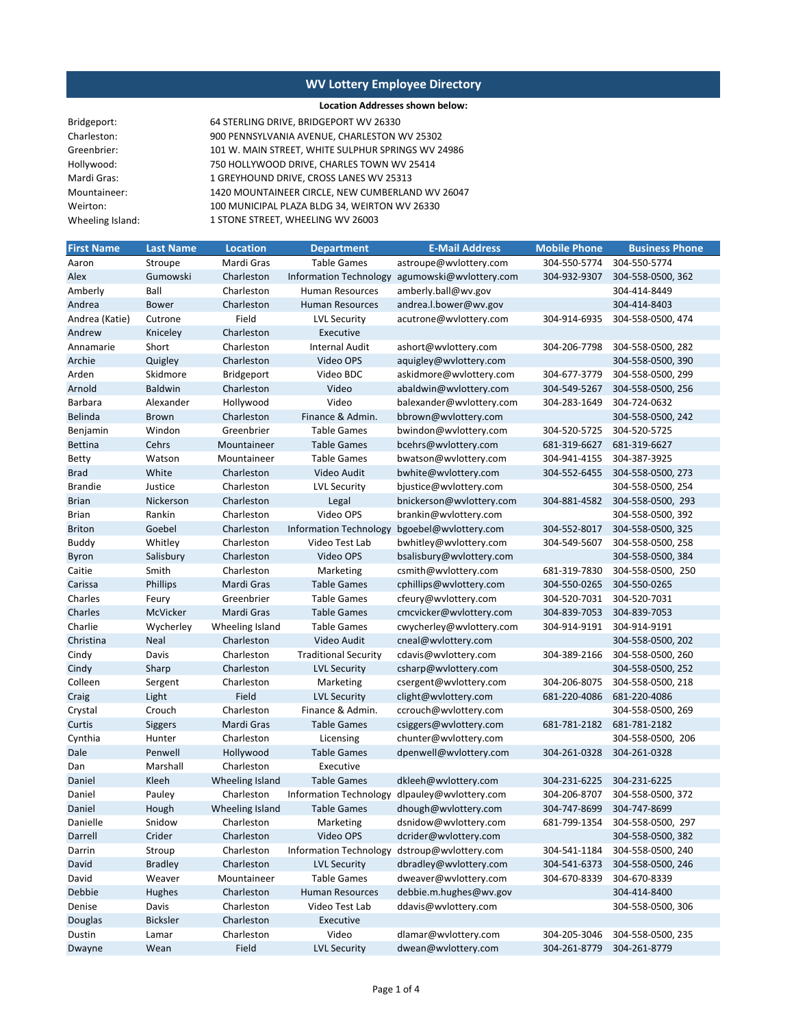### **Location Addresses shown below:**

| Bridgeport:      | 64 STERLING DRIVE, BRIDGEPORT WV 26330             |
|------------------|----------------------------------------------------|
| Charleston:      | 900 PENNSYLVANIA AVENUE, CHARLESTON WV 25302       |
| Greenbrier:      | 101 W. MAIN STREET, WHITE SULPHUR SPRINGS WV 24986 |
| Hollywood:       | 750 HOLLYWOOD DRIVE, CHARLES TOWN WV 25414         |
| Mardi Gras:      | 1 GREYHOUND DRIVE, CROSS LANES WV 25313            |
| Mountaineer:     | 1420 MOUNTAINEER CIRCLE, NEW CUMBERLAND WV 26047   |
| Weirton:         | 100 MUNICIPAL PLAZA BLDG 34, WEIRTON WV 26330      |
| Wheeling Island: | 1 STONE STREET, WHEELING WV 26003                  |
|                  |                                                    |

| <b>First Name</b> | <b>Last Name</b> | <b>Location</b>   | <b>Department</b>             | E-Mail Address                               | <b>Mobile Phone</b> | <b>Business Phone</b> |
|-------------------|------------------|-------------------|-------------------------------|----------------------------------------------|---------------------|-----------------------|
| Aaron             | Stroupe          | Mardi Gras        | Table Games                   | astroupe@wvlottery.com                       | 304-550-5774        | 304-550-5774          |
| Alex              | Gumowski         | Charleston        | <b>Information Technology</b> | agumowski@wvlottery.com                      | 304-932-9307        | 304-558-0500, 362     |
| Amberly           | Ball             | Charleston        | <b>Human Resources</b>        | amberly.ball@wv.gov                          |                     | 304-414-8449          |
| Andrea            | <b>Bower</b>     | Charleston        | Human Resources               | andrea.l.bower@wv.gov                        |                     | 304-414-8403          |
| Andrea (Katie)    | Cutrone          | Field             | <b>LVL Security</b>           | acutrone@wvlottery.com                       | 304-914-6935        | 304-558-0500, 474     |
| Andrew            | Kniceley         | Charleston        | Executive                     |                                              |                     |                       |
| Annamarie         | Short            | Charleston        | <b>Internal Audit</b>         | ashort@wvlottery.com                         | 304-206-7798        | 304-558-0500, 282     |
| Archie            | Quigley          | Charleston        | Video OPS                     | aquigley@wvlottery.com                       |                     | 304-558-0500, 390     |
| Arden             | Skidmore         | <b>Bridgeport</b> | Video BDC                     | askidmore@wvlottery.com                      | 304-677-3779        | 304-558-0500, 299     |
| Arnold            | <b>Baldwin</b>   | Charleston        | Video                         | abaldwin@wvlottery.com                       | 304-549-5267        | 304-558-0500, 256     |
| Barbara           | Alexander        | Hollywood         | Video                         | balexander@wvlottery.com                     | 304-283-1649        | 304-724-0632          |
| Belinda           | <b>Brown</b>     | Charleston        | Finance & Admin.              | bbrown@wvlottery.com                         |                     | 304-558-0500, 242     |
| Benjamin          | Windon           | Greenbrier        | <b>Table Games</b>            | bwindon@wvlottery.com                        | 304-520-5725        | 304-520-5725          |
| <b>Bettina</b>    | Cehrs            | Mountaineer       | <b>Table Games</b>            | bcehrs@wvlottery.com                         | 681-319-6627        | 681-319-6627          |
| Betty             | Watson           | Mountaineer       | <b>Table Games</b>            | bwatson@wvlottery.com                        | 304-941-4155        | 304-387-3925          |
| <b>Brad</b>       | White            | Charleston        | Video Audit                   | bwhite@wvlottery.com                         | 304-552-6455        | 304-558-0500, 273     |
| <b>Brandie</b>    | Justice          | Charleston        | <b>LVL Security</b>           | bjustice@wvlottery.com                       |                     | 304-558-0500, 254     |
| <b>Brian</b>      | Nickerson        | Charleston        | Legal                         | bnickerson@wvlottery.com                     | 304-881-4582        | 304-558-0500, 293     |
| Brian             | Rankin           | Charleston        | Video OPS                     | brankin@wvlottery.com                        |                     | 304-558-0500, 392     |
| <b>Briton</b>     | Goebel           | Charleston        | <b>Information Technology</b> | bgoebel@wvlottery.com                        | 304-552-8017        | 304-558-0500, 325     |
| Buddy             | Whitley          | Charleston        | Video Test Lab                | bwhitley@wvlottery.com                       | 304-549-5607        | 304-558-0500, 258     |
| Byron             | Salisbury        | Charleston        | Video OPS                     | bsalisbury@wvlottery.com                     |                     | 304-558-0500, 384     |
| Caitie            | Smith            | Charleston        | Marketing                     | csmith@wvlottery.com                         | 681-319-7830        | 304-558-0500, 250     |
| Carissa           | Phillips         | Mardi Gras        | <b>Table Games</b>            | cphillips@wvlottery.com                      | 304-550-0265        | 304-550-0265          |
| Charles           | Feury            | Greenbrier        | <b>Table Games</b>            | cfeury@wvlottery.com                         | 304-520-7031        | 304-520-7031          |
| Charles           | McVicker         | Mardi Gras        | <b>Table Games</b>            | cmcvicker@wvlottery.com                      | 304-839-7053        | 304-839-7053          |
| Charlie           | Wycherley        | Wheeling Island   | Table Games                   | cwycherley@wvlottery.com                     | 304-914-9191        | 304-914-9191          |
| Christina         | Neal             | Charleston        | Video Audit                   | cneal@wvlottery.com                          |                     | 304-558-0500, 202     |
| Cindy             | Davis            | Charleston        | <b>Traditional Security</b>   | cdavis@wvlottery.com                         | 304-389-2166        | 304-558-0500, 260     |
| Cindy             | Sharp            | Charleston        | <b>LVL Security</b>           | csharp@wvlottery.com                         |                     | 304-558-0500, 252     |
| Colleen           | Sergent          | Charleston        | Marketing                     | csergent@wvlottery.com                       | 304-206-8075        | 304-558-0500, 218     |
| Craig             | Light            | Field             | <b>LVL Security</b>           | clight@wvlottery.com                         | 681-220-4086        | 681-220-4086          |
| Crystal           | Crouch           | Charleston        | Finance & Admin.              | ccrouch@wvlottery.com                        |                     | 304-558-0500, 269     |
| Curtis            | Siggers          | Mardi Gras        | Table Games                   | csiggers@wvlottery.com                       | 681-781-2182        | 681-781-2182          |
| Cynthia           | Hunter           | Charleston        | Licensing                     | chunter@wvlottery.com                        |                     | 304-558-0500, 206     |
| Dale              | Penwell          | Hollywood         | <b>Table Games</b>            | dpenwell@wvlottery.com                       | 304-261-0328        | 304-261-0328          |
| Dan               | Marshall         | Charleston        | Executive                     |                                              |                     |                       |
| Daniel            | Kleeh            | Wheeling Island   | <b>Table Games</b>            | dkleeh@wvlottery.com                         | 304-231-6225        | 304-231-6225          |
| Daniel            | Pauley           | Charleston        | <b>Information Technology</b> | dlpauley@wvlottery.com                       | 304-206-8707        | 304-558-0500, 372     |
| Daniel            | Hough            | Wheeling Island   | <b>Table Games</b>            | dhough@wvlottery.com                         | 304-747-8699        | 304-747-8699          |
| Danielle          | Snidow           | Charleston        | Marketing                     | dsnidow@wvlottery.com                        | 681-799-1354        | 304-558-0500, 297     |
| Darrell           | Crider           | Charleston        | Video OPS                     | dcrider@wvlottery.com                        |                     | 304-558-0500, 382     |
| Darrin            | Stroup           | Charleston        |                               | Information Technology dstroup@wvlottery.com | 304-541-1184        | 304-558-0500, 240     |
| David             | <b>Bradley</b>   | Charleston        | <b>LVL Security</b>           | dbradley@wvlottery.com                       | 304-541-6373        | 304-558-0500, 246     |
| David             | Weaver           | Mountaineer       | <b>Table Games</b>            | dweaver@wvlottery.com                        | 304-670-8339        | 304-670-8339          |
| Debbie            | Hughes           | Charleston        | <b>Human Resources</b>        | debbie.m.hughes@wv.gov                       |                     | 304-414-8400          |
| Denise            | Davis            | Charleston        | Video Test Lab                | ddavis@wvlottery.com                         |                     | 304-558-0500, 306     |
| Douglas           | <b>Bicksler</b>  | Charleston        | Executive                     |                                              |                     |                       |
| Dustin            | Lamar            | Charleston        | Video                         | dlamar@wvlottery.com                         | 304-205-3046        | 304-558-0500, 235     |
| Dwayne            | Wean             | Field             | <b>LVL Security</b>           | dwean@wvlottery.com                          | 304-261-8779        | 304-261-8779          |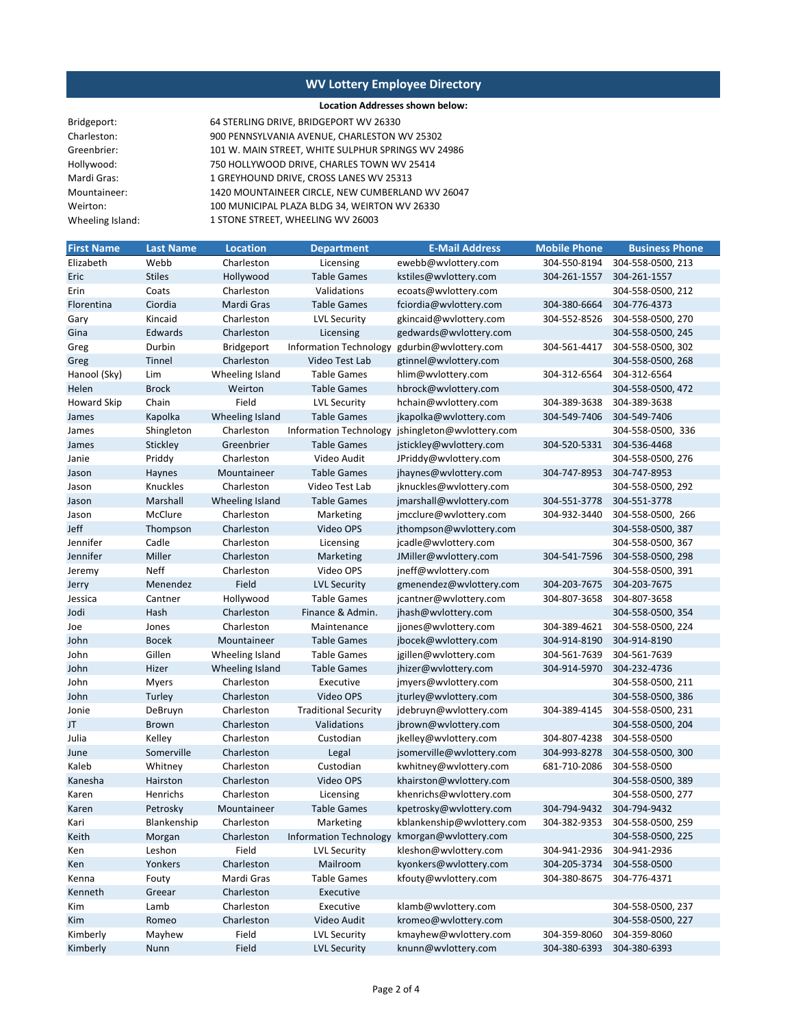### **Location Addresses shown below:**

| Bridgeport:      | 64 STERLING DRIVE, BRIDGEPORT WV 26330             |
|------------------|----------------------------------------------------|
| Charleston:      | 900 PENNSYLVANIA AVENUE, CHARLESTON WV 25302       |
| Greenbrier:      | 101 W. MAIN STREET, WHITE SULPHUR SPRINGS WV 24986 |
| Hollywood:       | 750 HOLLYWOOD DRIVE, CHARLES TOWN WV 25414         |
| Mardi Gras:      | 1 GREYHOUND DRIVE, CROSS LANES WV 25313            |
| Mountaineer:     | 1420 MOUNTAINEER CIRCLE, NEW CUMBERLAND WV 26047   |
| Weirton:         | 100 MUNICIPAL PLAZA BLDG 34, WEIRTON WV 26330      |
| Wheeling Island: | 1 STONE STREET, WHEELING WV 26003                  |
|                  |                                                    |

| <b>First Name</b>  | <b>Last Name</b> | Location        | <b>Department</b>             | <b>E-Mail Address</b>                        | <b>Mobile Phone</b> | <b>Business Phone</b> |
|--------------------|------------------|-----------------|-------------------------------|----------------------------------------------|---------------------|-----------------------|
| Elizabeth          | Webb             | Charleston      | Licensing                     | ewebb@wvlottery.com                          | 304-550-8194        | 304-558-0500, 213     |
| Eric               | <b>Stiles</b>    | Hollywood       | <b>Table Games</b>            | kstiles@wvlottery.com                        | 304-261-1557        | 304-261-1557          |
| Erin               | Coats            | Charleston      | Validations                   | ecoats@wvlottery.com                         |                     | 304-558-0500, 212     |
| Florentina         | Ciordia          | Mardi Gras      | <b>Table Games</b>            | fciordia@wvlottery.com                       | 304-380-6664        | 304-776-4373          |
| Gary               | Kincaid          | Charleston      | <b>LVL Security</b>           | gkincaid@wvlottery.com                       | 304-552-8526        | 304-558-0500, 270     |
| Gina               | Edwards          | Charleston      | Licensing                     | gedwards@wvlottery.com                       |                     | 304-558-0500, 245     |
| Greg               | Durbin           | Bridgeport      | Information Technology        | gdurbin@wvlottery.com                        | 304-561-4417        | 304-558-0500, 302     |
| Greg               | Tinnel           | Charleston      | Video Test Lab                | gtinnel@wvlottery.com                        |                     | 304-558-0500, 268     |
| Hanool (Sky)       | Lim              | Wheeling Island | <b>Table Games</b>            | hlim@wvlottery.com                           | 304-312-6564        | 304-312-6564          |
| Helen              | <b>Brock</b>     | Weirton         | <b>Table Games</b>            | hbrock@wvlottery.com                         |                     | 304-558-0500, 472     |
| <b>Howard Skip</b> | Chain            | Field           | LVL Security                  | hchain@wvlottery.com                         | 304-389-3638        | 304-389-3638          |
| James              | Kapolka          | Wheeling Island | <b>Table Games</b>            | jkapolka@wvlottery.com                       | 304-549-7406        | 304-549-7406          |
| James              | Shingleton       | Charleston      | <b>Information Technology</b> | jshingleton@wvlottery.com                    |                     | 304-558-0500, 336     |
| James              | Stickley         | Greenbrier      | <b>Table Games</b>            | jstickley@wvlottery.com                      | 304-520-5331        | 304-536-4468          |
| Janie              | Priddy           | Charleston      | Video Audit                   | JPriddy@wvlottery.com                        |                     | 304-558-0500, 276     |
| Jason              | Haynes           | Mountaineer     | <b>Table Games</b>            | jhaynes@wvlottery.com                        | 304-747-8953        | 304-747-8953          |
| Jason              | Knuckles         | Charleston      | Video Test Lab                | jknuckles@wvlottery.com                      |                     | 304-558-0500, 292     |
| Jason              | Marshall         | Wheeling Island | <b>Table Games</b>            | jmarshall@wvlottery.com                      | 304-551-3778        | 304-551-3778          |
| Jason              | McClure          | Charleston      | Marketing                     | jmcclure@wvlottery.com                       | 304-932-3440        | 304-558-0500, 266     |
| Jeff               | Thompson         | Charleston      | Video OPS                     | jthompson@wvlottery.com                      |                     | 304-558-0500, 387     |
| Jennifer           | Cadle            | Charleston      | Licensing                     | jcadle@wvlottery.com                         |                     | 304-558-0500, 367     |
| Jennifer           | Miller           | Charleston      | Marketing                     | JMiller@wvlottery.com                        | 304-541-7596        | 304-558-0500, 298     |
| Jeremy             | Neff             | Charleston      | Video OPS                     | jneff@wvlottery.com                          |                     | 304-558-0500, 391     |
| Jerry              | Menendez         | Field           | <b>LVL Security</b>           | gmenendez@wvlottery.com                      | 304-203-7675        | 304-203-7675          |
| Jessica            | Cantner          | Hollywood       | <b>Table Games</b>            | jcantner@wvlottery.com                       | 304-807-3658        | 304-807-3658          |
| Jodi               | Hash             | Charleston      | Finance & Admin.              | jhash@wvlottery.com                          |                     | 304-558-0500, 354     |
| Joe                | Jones            | Charleston      | Maintenance                   | jjones@wvlottery.com                         | 304-389-4621        | 304-558-0500, 224     |
| John               | <b>Bocek</b>     | Mountaineer     | <b>Table Games</b>            | jbocek@wvlottery.com                         | 304-914-8190        | 304-914-8190          |
| John               | Gillen           | Wheeling Island | <b>Table Games</b>            | jgillen@wvlottery.com                        | 304-561-7639        | 304-561-7639          |
| John               | Hizer            | Wheeling Island | <b>Table Games</b>            | jhizer@wvlottery.com                         | 304-914-5970        | 304-232-4736          |
| John               | <b>Myers</b>     | Charleston      | Executive                     | jmyers@wvlottery.com                         |                     | 304-558-0500, 211     |
| John               | Turley           | Charleston      | Video OPS                     | jturley@wvlottery.com                        |                     | 304-558-0500, 386     |
| Jonie              | DeBruyn          | Charleston      | <b>Traditional Security</b>   | jdebruyn@wvlottery.com                       | 304-389-4145        | 304-558-0500, 231     |
| JT                 | <b>Brown</b>     | Charleston      | Validations                   | jbrown@wvlottery.com                         |                     | 304-558-0500, 204     |
| Julia              | Kelley           | Charleston      | Custodian                     | jkelley@wvlottery.com                        | 304-807-4238        | 304-558-0500          |
| June               | Somerville       | Charleston      | Legal                         | jsomerville@wvlottery.com                    | 304-993-8278        | 304-558-0500, 300     |
| Kaleb              | Whitney          | Charleston      | Custodian                     | kwhitney@wvlottery.com                       | 681-710-2086        | 304-558-0500          |
| Kanesha            | Hairston         | Charleston      | Video OPS                     | khairston@wvlottery.com                      |                     | 304-558-0500, 389     |
| Karen              | Henrichs         | Charleston      | Licensing                     | khenrichs@wvlottery.com                      |                     | 304-558-0500, 277     |
| Karen              | Petrosky         | Mountaineer     | <b>Table Games</b>            | kpetrosky@wvlottery.com                      | 304-794-9432        | 304-794-9432          |
| Kari               | Blankenship      | Charleston      | Marketing                     | kblankenship@wvlottery.com                   | 304-382-9353        | 304-558-0500, 259     |
| Keith              | Morgan           | Charleston      |                               | Information Technology kmorgan@wvlottery.com |                     | 304-558-0500, 225     |
| Ken                | Leshon           | Field           | <b>LVL Security</b>           | kleshon@wvlottery.com                        | 304-941-2936        | 304-941-2936          |
| Ken                | Yonkers          | Charleston      | Mailroom                      | kyonkers@wvlottery.com                       | 304-205-3734        | 304-558-0500          |
| Kenna              | Fouty            | Mardi Gras      | <b>Table Games</b>            | kfouty@wvlottery.com                         | 304-380-8675        | 304-776-4371          |
| Kenneth            | Greear           | Charleston      | Executive                     |                                              |                     |                       |
| Kim                | Lamb             | Charleston      | Executive                     | klamb@wvlottery.com                          |                     | 304-558-0500, 237     |
| Kim                | Romeo            | Charleston      | Video Audit                   | kromeo@wvlottery.com                         |                     | 304-558-0500, 227     |
| Kimberly           | Mayhew           | Field           | <b>LVL Security</b>           | kmayhew@wvlottery.com                        | 304-359-8060        | 304-359-8060          |
| Kimberly           | Nunn             | Field           | <b>LVL Security</b>           | knunn@wvlottery.com                          | 304-380-6393        | 304-380-6393          |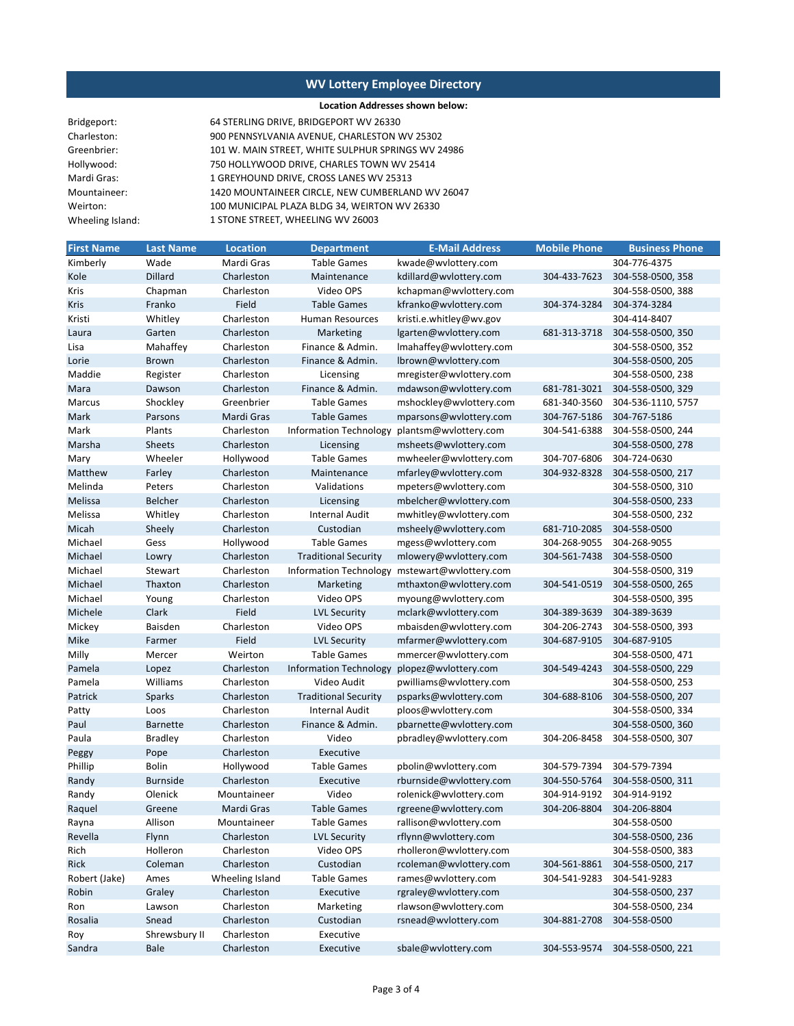#### **Location Addresses shown below:**

| Bridgeport:      |  |
|------------------|--|
| Charleston:      |  |
| Greenbrier:      |  |
| Hollywood:       |  |
| Mardi Gras:      |  |
| Mountaineer:     |  |
| Weirton:         |  |
| Wheeling Island: |  |

900 PENNSYLVANIA AVENUE, CHARLESTON WV 25302 64 STERLING DRIVE, BRIDGEPORT WV 26330 101 W. MAIN STREET, WHITE SULPHUR SPRINGS WV 24986 750 HOLLYWOOD DRIVE, CHARLES TOWN WV 25414 1 GREYHOUND DRIVE, CROSS LANES WV 25313 1420 MOUNTAINEER CIRCLE, NEW CUMBERLAND WV 26047 100 MUNICIPAL PLAZA BLDG 34, WEIRTON WV 26330 1 STONE STREET, WHEELING WV 26003

| <b>First Name</b> | <b>Last Name</b> | <b>Location</b> | <b>Department</b>             | <b>E-Mail Address</b>   | <b>Mobile Phone</b> | <b>Business Phone</b> |
|-------------------|------------------|-----------------|-------------------------------|-------------------------|---------------------|-----------------------|
| Kimberly          | Wade             | Mardi Gras      | <b>Table Games</b>            | kwade@wvlottery.com     |                     | 304-776-4375          |
| Kole              | Dillard          | Charleston      | Maintenance                   | kdillard@wvlottery.com  | 304-433-7623        | 304-558-0500, 358     |
| Kris              | Chapman          | Charleston      | Video OPS                     | kchapman@wvlottery.com  |                     | 304-558-0500, 388     |
| Kris              | Franko           | Field           | <b>Table Games</b>            | kfranko@wvlottery.com   | 304-374-3284        | 304-374-3284          |
| Kristi            | Whitley          | Charleston      | Human Resources               | kristi.e.whitley@wv.gov |                     | 304-414-8407          |
| Laura             | Garten           | Charleston      | Marketing                     | lgarten@wvlottery.com   | 681-313-3718        | 304-558-0500, 350     |
| Lisa              | Mahaffey         | Charleston      | Finance & Admin.              | Imahaffey@wvlottery.com |                     | 304-558-0500, 352     |
| Lorie             | <b>Brown</b>     | Charleston      | Finance & Admin.              | lbrown@wvlottery.com    |                     | 304-558-0500, 205     |
| Maddie            | Register         | Charleston      | Licensing                     | mregister@wvlottery.com |                     | 304-558-0500, 238     |
| Mara              | Dawson           | Charleston      | Finance & Admin.              | mdawson@wvlottery.com   | 681-781-3021        | 304-558-0500, 329     |
| Marcus            | Shockley         | Greenbrier      | <b>Table Games</b>            | mshockley@wvlottery.com | 681-340-3560        | 304-536-1110, 5757    |
| Mark              | Parsons          | Mardi Gras      | <b>Table Games</b>            | mparsons@wvlottery.com  | 304-767-5186        | 304-767-5186          |
| Mark              | Plants           | Charleston      | Information Technology        | plantsm@wvlottery.com   | 304-541-6388        | 304-558-0500, 244     |
| Marsha            | <b>Sheets</b>    | Charleston      | Licensing                     | msheets@wvlottery.com   |                     | 304-558-0500, 278     |
| Mary              | Wheeler          | Hollywood       | <b>Table Games</b>            | mwheeler@wvlottery.com  | 304-707-6806        | 304-724-0630          |
| Matthew           | Farley           | Charleston      | Maintenance                   | mfarley@wvlottery.com   | 304-932-8328        | 304-558-0500, 217     |
| Melinda           | Peters           | Charleston      | Validations                   | mpeters@wvlottery.com   |                     | 304-558-0500, 310     |
| Melissa           | Belcher          | Charleston      | Licensing                     | mbelcher@wvlottery.com  |                     | 304-558-0500, 233     |
| Melissa           | Whitley          | Charleston      | <b>Internal Audit</b>         | mwhitley@wvlottery.com  |                     | 304-558-0500, 232     |
| Micah             | Sheely           | Charleston      | Custodian                     | msheely@wvlottery.com   | 681-710-2085        | 304-558-0500          |
| Michael           | Gess             | Hollywood       | <b>Table Games</b>            | mgess@wvlottery.com     | 304-268-9055        | 304-268-9055          |
| Michael           | Lowry            | Charleston      | <b>Traditional Security</b>   | mlowery@wvlottery.com   | 304-561-7438        | 304-558-0500          |
| Michael           | Stewart          | Charleston      | <b>Information Technology</b> | mstewart@wvlottery.com  |                     | 304-558-0500, 319     |
| Michael           | Thaxton          | Charleston      | Marketing                     | mthaxton@wvlottery.com  | 304-541-0519        | 304-558-0500, 265     |
| Michael           | Young            | Charleston      | Video OPS                     | myoung@wvlottery.com    |                     | 304-558-0500, 395     |
| Michele           | Clark            | Field           | <b>LVL Security</b>           | mclark@wvlottery.com    | 304-389-3639        | 304-389-3639          |
| Mickey            | Baisden          | Charleston      | Video OPS                     | mbaisden@wvlottery.com  | 304-206-2743        | 304-558-0500, 393     |
| Mike              | Farmer           | Field           | <b>LVL Security</b>           | mfarmer@wvlottery.com   | 304-687-9105        | 304-687-9105          |
| Milly             | Mercer           | Weirton         | <b>Table Games</b>            | mmercer@wvlottery.com   |                     | 304-558-0500, 471     |
| Pamela            | Lopez            | Charleston      | Information Technology        | plopez@wvlottery.com    | 304-549-4243        | 304-558-0500, 229     |
| Pamela            | Williams         | Charleston      | Video Audit                   | pwilliams@wvlottery.com |                     | 304-558-0500, 253     |
| Patrick           | <b>Sparks</b>    | Charleston      | <b>Traditional Security</b>   | psparks@wvlottery.com   | 304-688-8106        | 304-558-0500, 207     |
| Patty             | Loos             | Charleston      | <b>Internal Audit</b>         | ploos@wvlottery.com     |                     | 304-558-0500, 334     |
| Paul              | <b>Barnette</b>  | Charleston      | Finance & Admin.              | pbarnette@wvlottery.com |                     | 304-558-0500, 360     |
| Paula             | <b>Bradley</b>   | Charleston      | Video                         | pbradley@wvlottery.com  | 304-206-8458        | 304-558-0500, 307     |
| Peggy             | Pope             | Charleston      | Executive                     |                         |                     |                       |
| Phillip           | <b>Bolin</b>     | Hollywood       | <b>Table Games</b>            | pbolin@wvlottery.com    | 304-579-7394        | 304-579-7394          |
| Randy             | <b>Burnside</b>  | Charleston      | Executive                     | rburnside@wvlottery.com | 304-550-5764        | 304-558-0500, 311     |
| Randy             | Olenick          | Mountaineer     | Video                         | rolenick@wvlottery.com  | 304-914-9192        | 304-914-9192          |
| Raquel            | Greene           | Mardi Gras      | <b>Table Games</b>            | rgreene@wvlottery.com   | 304-206-8804        | 304-206-8804          |
| Rayna             | Allison          | Mountaineer     | <b>Table Games</b>            | rallison@wvlottery.com  |                     | 304-558-0500          |
| Revella           | Flynn            | Charleston      | <b>LVL Security</b>           | rflynn@wvlottery.com    |                     | 304-558-0500, 236     |
| Rich              | Holleron         | Charleston      | Video OPS                     | rholleron@wvlottery.com |                     | 304-558-0500, 383     |
| Rick              | Coleman          | Charleston      | Custodian                     | rcoleman@wvlottery.com  | 304-561-8861        | 304-558-0500, 217     |
| Robert (Jake)     | Ames             | Wheeling Island | <b>Table Games</b>            | rames@wvlottery.com     | 304-541-9283        | 304-541-9283          |
| Robin             | Graley           | Charleston      | Executive                     | rgraley@wvlottery.com   |                     | 304-558-0500, 237     |
| Ron               | Lawson           | Charleston      | Marketing                     | rlawson@wvlottery.com   |                     | 304-558-0500, 234     |
| Rosalia           | Snead            | Charleston      | Custodian                     | rsnead@wvlottery.com    | 304-881-2708        | 304-558-0500          |
| Roy               | Shrewsbury II    | Charleston      | Executive                     |                         |                     |                       |
| Sandra            | <b>Bale</b>      | Charleston      | Executive                     | sbale@wvlottery.com     | 304-553-9574        | 304-558-0500, 221     |